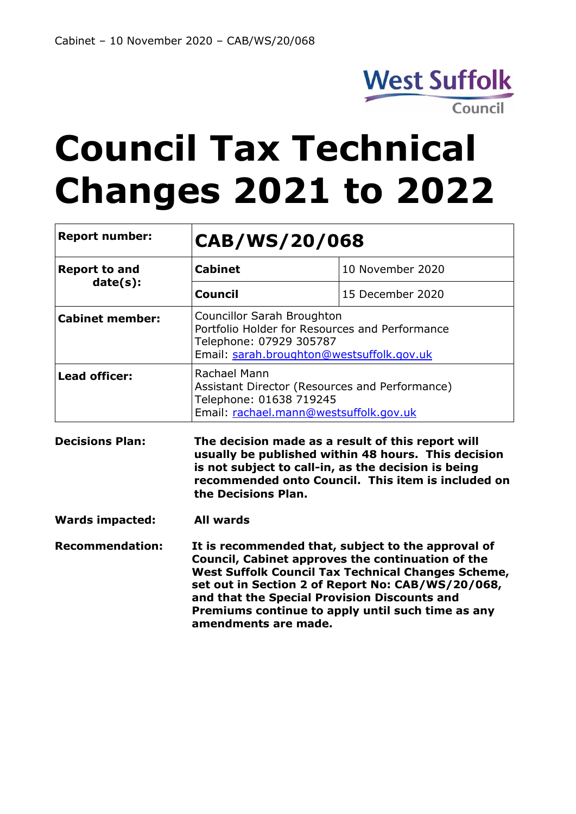

# **Council Tax Technical Changes 2021 to 2022**

| <b>Report number:</b>  | CAB/WS/20/068                                                                                                                                                                                                                                                                                                                                          |                  |  |
|------------------------|--------------------------------------------------------------------------------------------------------------------------------------------------------------------------------------------------------------------------------------------------------------------------------------------------------------------------------------------------------|------------------|--|
| <b>Report to and</b>   | <b>Cabinet</b>                                                                                                                                                                                                                                                                                                                                         | 10 November 2020 |  |
| date(s):               | <b>Council</b>                                                                                                                                                                                                                                                                                                                                         | 15 December 2020 |  |
| <b>Cabinet member:</b> | Councillor Sarah Broughton<br>Portfolio Holder for Resources and Performance<br>Telephone: 07929 305787<br>Email: sarah.broughton@westsuffolk.gov.uk                                                                                                                                                                                                   |                  |  |
| <b>Lead officer:</b>   | Rachael Mann<br>Assistant Director (Resources and Performance)<br>Telephone: 01638 719245<br>Email: rachael.mann@westsuffolk.gov.uk                                                                                                                                                                                                                    |                  |  |
| <b>Decisions Plan:</b> | The decision made as a result of this report will<br>usually be published within 48 hours. This decision<br>is not subject to call-in, as the decision is being<br>recommended onto Council. This item is included on<br>the Decisions Plan.                                                                                                           |                  |  |
| <b>Wards impacted:</b> | <b>All wards</b>                                                                                                                                                                                                                                                                                                                                       |                  |  |
| <b>Recommendation:</b> | It is recommended that, subject to the approval of<br>Council, Cabinet approves the continuation of the<br><b>West Suffolk Council Tax Technical Changes Scheme,</b><br>set out in Section 2 of Report No: CAB/WS/20/068,<br>and that the Special Provision Discounts and<br>Premiums continue to apply until such time as any<br>amendments are made. |                  |  |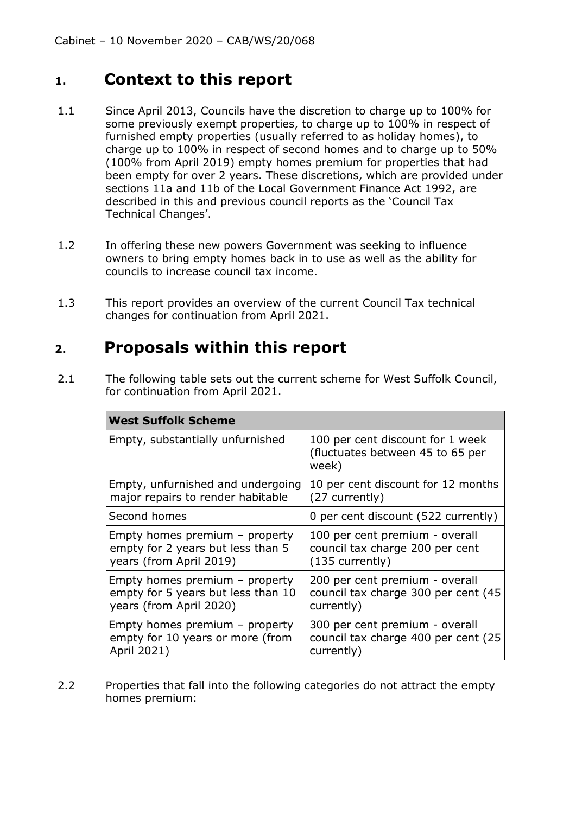#### **1. Context to this report**

- 1.1 Since April 2013, Councils have the discretion to charge up to 100% for some previously exempt properties, to charge up to 100% in respect of furnished empty properties (usually referred to as holiday homes), to charge up to 100% in respect of second homes and to charge up to 50% (100% from April 2019) empty homes premium for properties that had been empty for over 2 years. These discretions, which are provided under sections 11a and 11b of the Local Government Finance Act 1992, are described in this and previous council reports as the 'Council Tax Technical Changes'.
- 1.2 In offering these new powers Government was seeking to influence owners to bring empty homes back in to use as well as the ability for councils to increase council tax income.
- 1.3 This report provides an overview of the current Council Tax technical changes for continuation from April 2021.

#### **2. Proposals within this report**

2.1 The following table sets out the current scheme for West Suffolk Council, for continuation from April 2021.

| <b>West Suffolk Scheme</b>         |                                                                               |  |
|------------------------------------|-------------------------------------------------------------------------------|--|
| Empty, substantially unfurnished   | 100 per cent discount for 1 week<br>(fluctuates between 45 to 65 per<br>week) |  |
| Empty, unfurnished and undergoing  | 10 per cent discount for 12 months                                            |  |
| major repairs to render habitable  | (27 currently)                                                                |  |
| Second homes                       | 0 per cent discount (522 currently)                                           |  |
| Empty homes premium $-$ property   | 100 per cent premium - overall                                                |  |
| empty for 2 years but less than 5  | council tax charge 200 per cent                                               |  |
| years (from April 2019)            | $(135$ currently)                                                             |  |
| Empty homes premium - property     | 200 per cent premium - overall                                                |  |
| empty for 5 years but less than 10 | council tax charge 300 per cent (45                                           |  |
| years (from April 2020)            | currently)                                                                    |  |
| Empty homes premium - property     | 300 per cent premium - overall                                                |  |
| empty for 10 years or more (from   | council tax charge 400 per cent (25                                           |  |
| April 2021)                        | currently)                                                                    |  |

2.2 Properties that fall into the following categories do not attract the empty homes premium: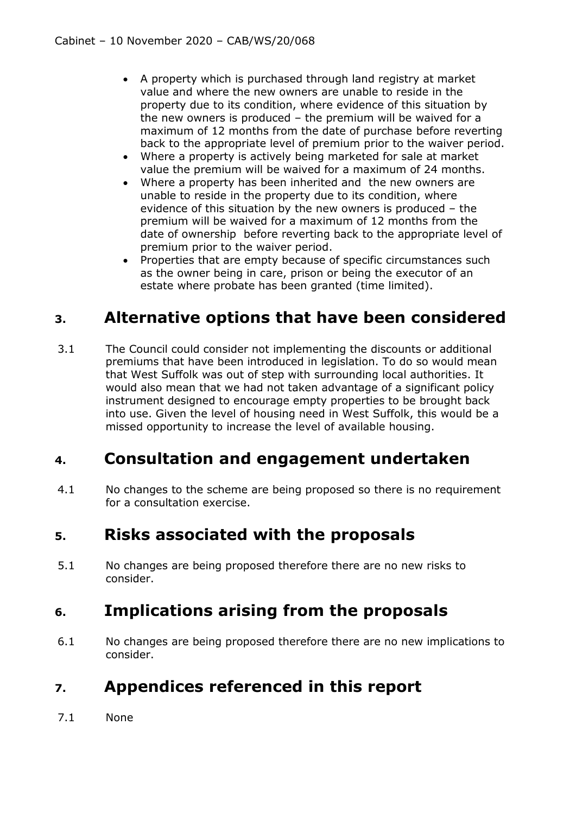- A property which is purchased through land registry at market value and where the new owners are unable to reside in the property due to its condition, where evidence of this situation by the new owners is produced – the premium will be waived for a maximum of 12 months from the date of purchase before reverting back to the appropriate level of premium prior to the waiver period.
- Where a property is actively being marketed for sale at market value the premium will be waived for a maximum of 24 months.
- Where a property has been inherited and the new owners are unable to reside in the property due to its condition, where evidence of this situation by the new owners is produced – the premium will be waived for a maximum of 12 months from the date of ownership before reverting back to the appropriate level of premium prior to the waiver period.
- Properties that are empty because of specific circumstances such as the owner being in care, prison or being the executor of an estate where probate has been granted (time limited).

## **3. Alternative options that have been considered**

3.1 The Council could consider not implementing the discounts or additional premiums that have been introduced in legislation. To do so would mean that West Suffolk was out of step with surrounding local authorities. It would also mean that we had not taken advantage of a significant policy instrument designed to encourage empty properties to be brought back into use. Given the level of housing need in West Suffolk, this would be a missed opportunity to increase the level of available housing.

## **4. Consultation and engagement undertaken**

4.1 No changes to the scheme are being proposed so there is no requirement for a consultation exercise.

## **5. Risks associated with the proposals**

5.1 No changes are being proposed therefore there are no new risks to consider.

## **6. Implications arising from the proposals**

6.1 No changes are being proposed therefore there are no new implications to consider.

## **7. Appendices referenced in this report**

7.1 None